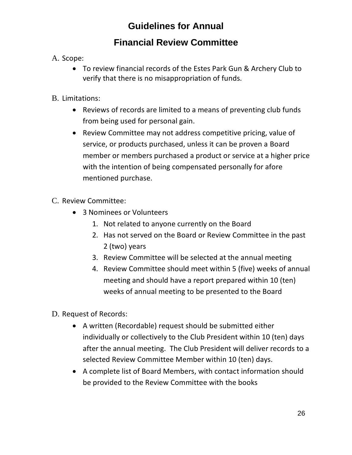# **Guidelines for Annual**

## **Financial Review Committee**

### A. Scope:

• To review financial records of the Estes Park Gun & Archery Club to verify that there is no misappropriation of funds.

### B. Limitations:

- Reviews of records are limited to a means of preventing club funds from being used for personal gain.
- Review Committee may not address competitive pricing, value of service, or products purchased, unless it can be proven a Board member or members purchased a product or service at a higher price with the intention of being compensated personally for afore mentioned purchase.

#### C. Review Committee:

- 3 Nominees or Volunteers
	- 1. Not related to anyone currently on the Board
	- 2. Has not served on the Board or Review Committee in the past 2 (two) years
	- 3. Review Committee will be selected at the annual meeting
	- 4. Review Committee should meet within 5 (five) weeks of annual meeting and should have a report prepared within 10 (ten) weeks of annual meeting to be presented to the Board
- D. Request of Records:
	- A written (Recordable) request should be submitted either individually or collectively to the Club President within 10 (ten) days after the annual meeting. The Club President will deliver records to a selected Review Committee Member within 10 (ten) days.
	- A complete list of Board Members, with contact information should be provided to the Review Committee with the books